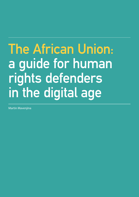## **The African Union: a guide for human rights defenders in the digital age**

Martin Mavenjina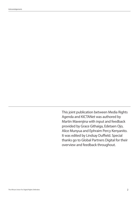Acknowledgements

This joint publication between Media Rights Agenda and KICTANet was authored by Martin Mavenjina with input and feedback provided by Grace Githaiga, Edetaen Ojo, Alice Munyua and Ephraim Percy Kenyanito. It was edited by Lindsay Duffield. Special thanks go to Global Partners Digital for their overview and feedback throughout.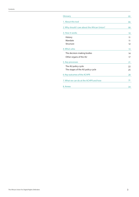| Glossary                                      | 05 |
|-----------------------------------------------|----|
| 1. About this tool                            | 06 |
| 2. Why should I care about the African Union? | 08 |
| 3. How it works                               | 10 |
| History                                       | 11 |
| Mandate                                       | 11 |
| Structure                                     | 12 |
| 4. Who's who                                  | 13 |
| The decision-making bodies                    | 14 |
| Other organs of the AU                        | 17 |
| 5. Key processes                              | 21 |
| The AU policy cycle                           | 22 |
| The stages of the AU policy cycle             | 25 |
| 6. Key outcomes of the ACHPR                  | 28 |
| 7. What we can do at the ACHPR and how        | 31 |
| 8. Annex                                      | 34 |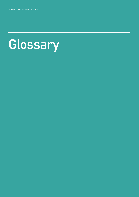## **Glossary**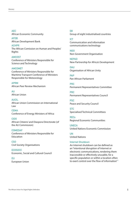**AEC** African Economic Community **AFDB**

African Development Bank

**ACHPR** The African Comission on Human and Peoples' Rights

**AMCOST**  Conference of Ministers Responsible for Science and Technology

### **AMCOMET**

Conference of Ministers Responsible for Maritime Transport Conference of Ministers Responsible for Meteorology

**APRM** African Peer Review Mechanism

**AU**  African Union

**AUCIL**  African Union Commission on International Law

**CEMA**  Conference of Energy Ministers of Africa

**CIDO**  African Citizens' and Diaspora Directorate (of the AU Commission)

**COMEDAF** Conference of Ministers Responsible for Education

**CSO** Civil Society Organisations

**ECOSOCC**  Economic, Social and Cultural Council

**EU** European Union

## **G8**

Group of eight industrialised countries

**ICT** 

Communication and information communications technology

**NGO**  Non Government Organisation

**NEPAD** New Partnership for Africa's Development

**OAU** Organisation of African Unity

**PAP** Pan African Parliament

**PRC** Permanent Representatives Committee

**PRC** Permanent Representatives Council

**PSC** Peace and Security Council

**STC** Specialised Technical Committees

**RECs** Regional Economic Communities

**UNECA** United Nations Economic Commission

**UN** United Nations

## **Internet Shutdown**

An Internet shutdown can be defined as an "intentional disruption of Internet or electronic communications, rendering them inaccessible or effectively unusable, for a specific population or within a location often to exert control over the flow of information" 1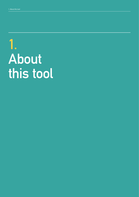## **1. About this tool**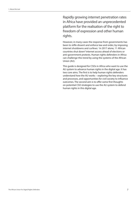Rapidly growing internet penetration rates in Africa have provided an unprecedented platform for the realisation of the right to freedom of expression and other human rights.

However, in many cases the response from governments has been to stifle dissent and enforce law and order, by imposing internet shutdowns and curfews.2 In 2017 alone, 11 African countries shut down3 internet access ahead of elections or anti-government protests. Human rights defenders in Africa can challenge this trend by using the systems of the African Union (AU).

This guide is designed for CSOs in Africa who want to use the AU system to advance human rights in the digital age. It has two core aims. The first is to help human rights defenders understand how the AU works – exploring the key structures and processes, and opportunities for civil society to influence outcomes. The second aim is to offer some first thoughts on potential CSO strategies to use the AU system to defend human rights in this digital age.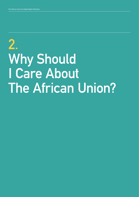## **2. Why Should I Care About The African Union?**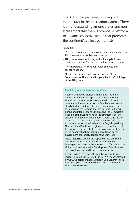The AU is now perceived as a regional interlocutor in the international arena. There is an understanding among states and nonstate actors that the AU provides a platform to advance collective action that promotes the continent's collective interests.

#### In addition:

- CSOs have legitimacy their role of influencing and aiding AU processes is recognised and accepted.
- AU systems have monitoring and follow-up built in to them, which allows for long term influence and change.
- There is potential for continent-wide changes and collective action.
- Africa's core human rights instrument, the African Commission for Human and People's Rights (ACHPR) is part of the AU system.

### Declining internet freedom in Africa

Internet shutdowns started gaining global attention during the Egypt uprising in 2011, when authorities shut down the internet for nearly a week to disrupt communications of protestors. In fact there has been a steady decline of internet freedom over several years. In Gabon and the Gambia, the internet was shut down during and after elections. Ethiopia and the Democratic Republic of the Congo have closed off internet access ahead of anti-government demonstrations. On January 17, 2017, the Cameroonian government cut off access to the internet for up to 93 days in the English-speaking Northwest and Southwest regions of the country in a bid to control the protest of citisens alleging marginalisation of the minority English-speaking population by the government of a largely francophone Cameroon.

These repressive actions are happening at a time when governments all over the world are committed to leveraging the power of the internet and ICTs to reach the United Nations Sustainable Development Goals in areas such as education, health and economic growth.

According to Access Now, the number of shutdowns increased from 55 in 2016 to 61 in 2017. A report released by CIPESA disclosed that countries in Sub-Saharan Africa have lost up to 237 million USD as a result of internet shutdowns since 2015.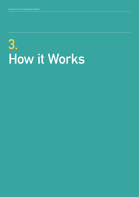# **3. How it Works**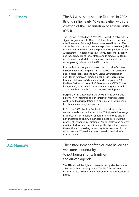**3.1. History** The AU was established in Durban<sup>4</sup> in 2002. Its origins lie nearly 40 years earlier, with the creation of the Organisation of African Unity (OAU).

> The OAU was created on 25 May 1963 in Addis Ababa with 32 signatory governments. Over its lifetime it came to include all African states (although Morocco removed itself in 1984 and at the time of writing was in the process of rejoining). The original aims of the OAU were to promote cooperation among African states, to defend the sovereignty, territorial integrity and independence of those states, and to eradicate all forms of colonialism and white minority rule. Human rights were only a passing reference in the OAU charter.

Even without a strong mandate on the topic, the OAU was instrumental in creating the 1981 African Charter on Human and Peoples Rights and the 1999 Grand Bay Declaration and Plan of Action on Human Rights. These texts are now fundamental to Africa's human rights framework. In 2001 the New Partnership for Africa's Development (NEPAD) was inaugurated, an economic development programme which also places human rights at the centre of development.

Despite these achievements the OAU's limited power and policy of non-interference in the affairs of Member States contributed to its reputation as a bureaucratic talking shop. Eventually something had to change.

In October 1999, the Sirte Declaration formalised a plan to create a new body, the African Union. This signalled a change in approach, from a position of non-interference to one of non-indifference. The AU's mandate aims to accelerate the process of economic integration of African states, and address multifaceted social, economic and political problems across the continent. Upholding human rights forms an explicit part of its mandate. When the AU was created in 2002, the OAU was dissolved.

**3.2. Mandate** The establishment of the AU was hailed as a welcome opportunity to put human rights firmly on the African agenda.

> The AU claimed the right to intervene in any Member States' affairs on human rights grounds. The AU Constitutive Act<sup>5</sup> reaffirms Africa's commitment to promote and protect human rights.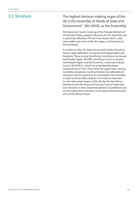## **3.3. Structure**

The highest decision-making organ of the AU is the Assembly of Heads of State and Government<sup>6</sup> (AU-AHSG, or the Assembly).

The Executive Council, made up of the Foreign Ministers of AU Member States, prepares decisions for the Assembly and is extremely influential. The AU Commission (AUC) is the most visible and active of the AU organs, and functions as the secretariat.

A number of other AU agencies are particularly relevant to human rights defenders concerned with digital rights and freedoms. These include the African Commission on Human and Peoples Rights (ACHPR), the African Court on Human and People's Rights and the Economic, Social and Cultural Council (ECOSOCC), which has a membership drawn exclusively from CSOs. These other AU organs have varying mandates and powers (outlined below), but ultimately all decisions must be passed by the Assemblyor the Assembly in order to be formally adopted. It is however important to note that certain organs of the AU like the Pan African Parliament and the Peace and Security Council make their own decisions in their respective spheres of jurisdiction and do not require these decisions to be approved by these two arms of the African Union.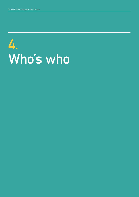## **4. Who's who**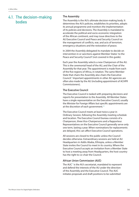## **4.1. The decision-making bodies**

## **The Assembly**

The Assembly is the AU's ultimate decision-making body. It determines the AU's policies, establishes its priorities, adopts its annual programme and monitors the implementation of its policies and decisions. The Assembly is mandated to accelerate the political and socio-economic integration of the African continent, and may issue directives to the AU Executive Council and Peace and Security Council on the management of conflicts, war, and acts of terrorism, emergency situations and the restoration of peace.

In 2004 the Assembly delegated its mandate to decide on intervention in or sanctions against Member States<sup>7</sup> to the Peace and Security Council<sup>8</sup> (not covered in this guide).

Each year the Assembly selects a new Chairperson of the AU. This is the ceremonial head of the AU, and the Chair of the Assembly for that year. The appointment is made from each of the five regions of Africa, in rotation. The same Member State that chairs the Assembly also chairs the Executive Council.<sup>9</sup> Important appointments in other AU agencies are often also made by the AU (including appointment of ACHPR Commissioners).

## **The Executive Council**

The Executive Council is tasked with preparing decisions and reports for presentation to the Assembly. All Member States have a single representative on the Executive Council, usually the Minister for Foreign Affairs but specific appointments are at the discretion of each government.<sup>10</sup>

The Executive Council meets at least twice a year in Ordinary Session, following the Assembly meeting schedule and location. The Executive Council bureau consists of a Chairperson, three Vice-Chairpersons and a Rapporteur. Representatives on the Executive Council generally serve only one term, lasting a year. When nominations for replacements are delayed, this can affect Executive Council operations.

All sessions are closed to the public unless the Council decides otherwise. Extraordinary sessions are held at AU Headquarters in Addis Ababa, Ethiopia, unless a Member State invites the Council to meet in its country. Where the Executive Council accepts an invitation from a Member State to host a meeting away from Headquarters, the host country has the right to co-chair the Council.

## **African Union Commission (AUC)**

The AUC<sup>11</sup> is the AU's secretariat, mandated to represent and defend the interests of the AU under the direction of the Assembly and the Executive Council. The AUC initiates proposals and draft positions to be submitted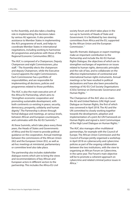to the Assembly, and also takes a leading role in implementing the decisions taken by various AU agencies. It also provides assistance to Member States in implementing the AU's programme of work, and helps to coordinate Member States in international negotiations, including working to harmonise AU programmes and policies with those of the Regional Economic Communities (RECs).

The AUC is composed of a Chairperson, Deputy Chairperson and eight Commissioners, plus staff.<sup>12</sup> The Assembly elects the chairperson and deputy Chairperson, while the Executive Council appoints the eight Commissioners. Each Commissioner has a portfolio of responsibilities, and are responsible for implementing all decisions, policies and programmes related to those portfolios.

The AUC is also the main executive arm of the Africa-EU Partnership, which aims to "strengthen economic cooperation and promoting sustainable development, with both continents co-existing in peace, security, democracy, prosperity, solidarity and human dignity". The Partnership is driven through formal dialogue and meetings, at various levels, between African and European counterparts, and culminates with the AU-EU Summits.<sup>13</sup>

At these Summits, which take place every three years, the Heads of States and Governments of Africa and the EU meet to provide political guidance on the cooperation. Annual meetings between the commissions of the African Union (AU) and the European Union (EU), as well as ad-hoc meetings at ministerial, parliamentary or committee level also take place.

The partnership also includes stakeholder dialogue events which aim to bring the views and recommendations of key African and European actors in different sectors to the partnership. This includes the Africa-EU civil

society forum and which takes place in the run-up to Summits of Heads of State and Government. It is facilitated by two steering committees from Africa and the EU, supported by the African Union and the European Commission.14

Specific thematic dialogues or expert meetings make an important contribution to the Partnership and include the AU-EU Human Rights Dialogue, the objectives of which are to strengthen exchanges of experience on issues related to human rights, democratic principles and the rule of law, and to collaborate on the effective implementation of continental and international human rights instruments. Annual meetings so far have resulted in political declarations and have also been preceded by meetings of AU-EU Civil Society Organisations (CSOs) Seminar on Democratic Governance and Human Rights.15

The Chairperson of the AUC also co-chairs the AU and United Nations (UN) High Level Dialogue on Human Rights, the first of which was convened in April 2018. The AU and the UN committed to closely working together towards the development, adoption and implementation of a joint AU-UN Framework on Human Rights and signed a Joint Communique of the High Level Dialogue on Human Rights.16

The AUC also manages other multilateral partnerships, for example with the Council of Europe. The African Union Commission and the Council of Europe jointly organised a workshop in April 2018 on cybersecurity and cybercrime policies as part of the ongoing collaboration between the two institutions, with the view to organising an African Forum on Cybercrime, in the same year. The Forum's main objective will be to promote a coherent approach on cybercrime and related criminal justice issues in Africa<sup>17</sup>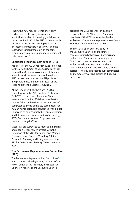Finally, the AUC may enter into short term partnerships with non-governmental institutions, such as to develop guidelines on certain topics. In 2017 the AUC partnered with the Internet Society to develop guidelines on internet infrastructure security, $18$  and the following year it partnered with the same organisation to release guidelines on personal data protection.19

## **Specialised Technical Committees (STCs)**

Article 14 of the AU Constitutive  $Act^{20}$  provides for the establishment of Specialised Technical Committees (STCs) across a range of thematic areas, to work in close collaboration with AUC departments and ensure AU projects and programmes are harmonised. STCs are responsible to the Executive Council.

At the time of writing, there are 14 STCs, consistent with the AUC portfolios<sup>21</sup> structure. Each STC is composed of Member States' ministers and senior officials responsible for sectors falling within their respective areas of competence. Some of the key committees for human rights defenders concerned with digital rights and freedoms, might be Communication and Information Communications Technology (ICT); Gender and Women Empowerment; Justice and Legal Affairs.

Most STCs are supposed to meet at ministerial and expert level every two years, with the exception of the STCs for Gender and Women Empowerment, Finance, Monetary Affairs, Economic Planning and Integration, and the STC for Defence and Security. These meet every year.

## **The Permanent Representatives Committee (PRC)**

The Permanent Representatives Committee<sup>22</sup> (PRC) conducts the day-to-day business of the AU on behalf of the Assembly and Executive Council. It reports to the Executive Council,

prepares the Council's work and acts on its instructions. All AU Member States are members of the PRC, represented by the ambassador/permanent representative of each Member State based in Addis Ababa.

The PRC acts as an advisory body to the Executive Council, and facilitates communication between AU Commissioners and Member State capitals, among other functions. It meets at least once a month, and essentially ensures the AU is able to function between AU and Executive Council sessions. The PRC also sets up sub-committees and temporary working groups as it deems necessary.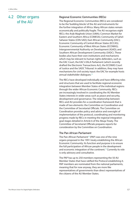## **4.2 Other organs of the AU**

## **Regional Economic Communities (RECs)**

The Regional Economic Communities (RECs) are considered to be the 'building blocks' of the AU and instruments for the further integration of Africa. Many African states remain economically and politically fragile. The AU recognises eight RECs: the Arab Maghreb Union (UMA); Common Market for Eastern and Southern Africa (COMESA); Community of Sahel-Saharan States (CEN-SAD); East African Community (EAC); Economic Community of Central African States (ECCAS); Economic Community of West African States (ECOWAS); Intergovernmental Authority on Development (IGAD); and Southern African Development Community (SADC). These bodies also have their own institutions and mechanisms which may be relevant to human rights defenders, such as the EAC Court, the EAC's EALA Parliament (which recently drafted the Electronic Transactions Act), the ECOWAS Court of Justice and the SADC Tribunal. In addition, they may have mechanisms for civil society input: the EAC for example hosts annual stakeholder dialogues.<sup>23</sup>

The RECs have developed individually and have differing roles and structures that are used to facilitate regional economic integration between Member States of the individual regions through the wider African Economic Community. RECs are increasingly involved in coordinating the AU Member States interests in wider areas such as peace and security, development and governance. The relationship between RECs and AU provides for a coordination framework that is made of two elements: the Committee on Coordination and the Committee of Secretariat Officials. The Committee on Coordination provides policy and advice and oversight of implementation of the protocol, coordinating and monitoring progress made by RECs in meeting the regional integration goal stages detailed in Article 6 of the Abuja Treaty. The Committee of Secretariat Officials prepares reports for consideration by the Committee on Coordination.

## **The Pan African Parliament**

The Pan-African Parliament<sup>24</sup> (PAP) was one of the nine organs proposed in the 1991 treaty establishing the African Economic Community. Its function and purpose is to ensure the full participation of African people in the development and economic integration of the continent.<sup>25</sup> Currently its role is only advisory and consultative.

The PAP has up to 250 members representing the 50 AU Member States that have ratified the Protocol establishing it. PAP members are nominated from the national parliaments, meaning that for now anyway, they are more like representatives of governments than direct representatives of the citizens of the AU Member States.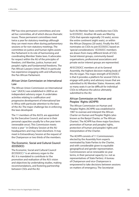PAP has nine permanent committees and one ad hoc committee, all of which discuss thematic issues. These permanent committees meet twice a year for statutory meetings although they can meet more often during parliamentary sessions or for non-statutory meetings. The committee on justice and human rights assists the Parliament in its role of harmonising and coordinating Member States laws. It advocates for respect within the AU of the principles of freedom, civil liberties, justice, human and people's rights and fundamental freedoms. The Pan African Lawyers Union (PALU) in particular has experience engaging with and influencing the Pan African Parliament.

## **African Union Commission on International Law**

The African Union Commission on International Law26 (AUCIL) was established in 2009 as an independent advisory organ. It undertakes activities relating to codification and progressive development of international law in Africa with particular attention to the laws of the AU. The major challenge lies in enforcing the laws developed.

The 11 members of the AUCIL are appointed by the Executive Council, and serve in their personal capacities usually for a five year term (renewable once). This Commission meets twice a year<sup>27</sup> in Ordinary Session at the AU headquarters and may meet elsewhere. It may meet in Extraordinary Session at the request of the Chairperson or two thirds of the members.

## **The Economic, Social and Cultural Council (ECOSOCC)**

The Economic, Social and Cultural Council  $(ECOSOCC)^{28}$  is an advisory organ to the AU. It is mandated to contribute to 'the promotion and realisation of the AU's vision and objectives by undertaking studies, making recommendations, and fostering partnership between CSOs and the AU.

Each AU Member State contributes two CSOs to ECOSOCC. Another 48 seats are filled by CSOs that operate regionally (10 seats), across the entire continent (eight seats), or within the African Diaspora (20 seats). Finally the AUC nominates six CSOs to join ECOSOCC based on 'special considerations.' ECOSOCC members are drawn from many different kinds of CSO. Social interest groups, community-based organisations, professional associations and private sector interest groups are represented.

All ECOSOCC members sit at its General Assembly, the highest decision-making body of this AU organ. The major strength of ECOSOCC is that it provides a platform for several CSOs to engage with policy and advisory issues that are submitted to AU Member States. However, with so many seats it can be difficult for individual CSOs to influence the advice ultimately submitted to the AU.

## **African Commission on Human and Peoples' Rights (ACHPR)**

The African Commission on Human and Peoples' Rights (ACHPR) was established in 1987 to oversee and interpret the African Charter on Human and Peoples' Rights (also known as the Banjul Charter, or The African Charter). The ACHPR has three major functions: promotion of human and peoples' rights, protection of human and peoples' rights and interpretation of the Charter.

The ACHPR consists of 11 Commissioners elected by the Assembly from experts nominated by State Parties to the Charter, and with considerable given to equitable geographical and gender representation. Commissioners serve renewable six year terms, in their personal capacity (i.e. not as representatives of State Parties). A bureau of Chairperson and vice-Chairperson is empowered to take decisions between sessions on matters of emergency. The Secretariat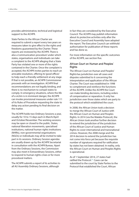provides administrative, technical and logistical support to the ACHPR.

State Parties to the African Charter are required to submit a report every two years on measures taken to give effect to the rights and freedoms guaranteed by the Charter. These reports are reviewed by the ACHPR. There is also a 'communication procedure' under which states, organisations and individuals can take a complaint to the ACHPR alleging that a State Party has violated one or more of the rights contained in the Charter. Once the complaint is accepted, the ACHPR invites parties to reach an amicable resolution, offering its 'good offices' to help reach a friendly settlement at any stage. If that is not possible, an ACHPR Commissioner proceeds with an investigation. ACHPR final recommendations are not legally binding, and there is no mechanism to compel states to comply. In emergency situations, where the life of a victim is in imminent danger, the ACHPR can invoke provisional measures under rule 111 of its Rules of Procedure requesting the state to delay any action pending its final decision on the matter.

The ACHPR holds two Ordinary Sessions a year, usually for 10 to 15 days each in March/April and October/November. The working sessions may be open or closed to the public. States, national liberation movements, specialised institutions, national human rights institutions (NHRIs), non-governmental organisations (NGOs) or individuals may all be invited to take part in its sessions. Ordinary Session agendas are usually drawn up by the ACHPR Secretariat in consultation with the ACHPR Bureau. Apart from the Ordinary Sessions, the Commission may also meet in Extraordinary Sessions, either to respond to human rights crises or for more procedural matters.

The ACHPR submits a report of its activities to all AU Assembly Ordinary Sessions, although

in fact they are considered by the Executive Council. The ACHPR may publish information about its protective activities only after the Executive Council and Assembly have adopted the report. The Executive Council can withhold authorisation for publication of these reports and has done so.

For more information on the specific outcomes of the ACHPR, see section five.

## **African Court on Human and Peoples' Rights**

The African Court on Human and Peoples' Rightshas jurisdiction over all cases and disputes submitted to it concerning the interpretation and application of the African Charter. The Court was established in 1998 to complement and reinforce the functions of the ACHPR. Unlike the ACHPR the Court can make binding decisions, including orders of compensation or reparation. It only has jurisdiction over those states which are party to the protocol which established the court.

In 2008, the African Union took a decision to merge the African Court of Justice with the African Court on Human and Peoples Rights. In 2014 (via the Malabo Protocol), the African Union took another further decision to extend the jurisdiction of the jurisdiction of the African Court of Justice and Human Rights to cover international and transnational crimes. However, the 2008 merge and the 2014 decision to extend the jurisdiction has not come into force yet because the requisite number of signatures required for ratification by states has not been obtained. In reality, only the African Court on Human and Peoples Rights is operational.

As of 1 September 2014, 27 states had ratified the Protocol.<sup>29</sup> Cases can be submitted to the court by State Parties to the Protocol that established the Court, African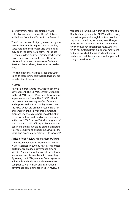intergovernmental organisations, NGOs with observer status before the ACHPR and individuals from State Parties to the Protocol.

The Court consists of 11 judges elected by the Assembly from African jurists nominated by State Parties to the Protocol. No two judges may be of the same nationality. The judges elect a president and vice-president who serve two-year terms, renewable once. The Court sits four times a year in two-week Ordinary Sessions. Extraordinary Sessions may also be held.

The challenge that has bedevilled this Court since its establishment is that its decisions are usually difficult to enforce.

## **NEPAD**

NEPAD is a programme for Africa's economic development. The NEPAD secretariat reports to the NEPAD Heads of State and Government Implementation Committee (HSGIC), that in turn meets on the margins of AU Summits and reports to the AU Assembly. It works with the RECs, which are primarily responsible for implementing the NEPAD programmes, to promote effective cross-border collaboration on infrastructure, trade and other economic initiatives. NEPAD has an "E-Africa programme" which "aims to build ICT capacities across the continent and is advocating on topics related to cybersecurity and cybercrime as well as the social and economic benefits of ICTs for Africa".

## **African Peer Review Mechanism (APRM)**

The African Peer Review Mechanism (APRM) was established in 2003 by NEPAD to monitor performance on good governance among Member States. The APRM is a self-monitoring instrument and its membership is voluntary. By joining the APRM, Member States agree to voluntarily and independently review their compliance with African and international governance commitments. The first review is

meant to be carried out within 18 months of a Member State joining the APRM and then every two to four years, although in actual practice they can take as long as seven years. Thirty-six of the 55 AU Member States have joined the APRM and 21 have been peer-reviewed. The APRM has suffered from a lack of commitment and resources but it remains a functioning mechanism and there are renewed hopes that it might be reformed.30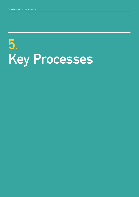# **5. Key Processes**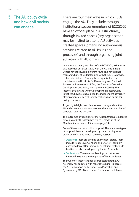## **5.1 The AU policy cycle and how civil society can engage**

There are four main ways in which CSOs engage the AU. They include through institutional spaces (members of ECOSOCC have an official place in AU structures), through invited spaces (any organisation may be invited to attend AU activities), created spaces (organising autonomous activities related to AU issues and processes) and through organising joint activities with AU organs.

In addition to being members of the ECOSOCC, NGOs may also apply for observer status with the AU (see annex). Others have followed a different route and have signed memorandums of understanding with the AUC to provide technical assistance. Among these organisations are the International Institute for Democracy and Electoral Assistance (International IDEA), the European Centre for Development and Policy Management (ECDPM), The Internet Society and Oxfam. Perhaps the most powerful initiatives, however, have been the independent advocacy efforts organised by civil society coalitions on particular policy concerns.

To get digital rights and freedoms on the agenda at the AU and to secure positive outcomes, there are a number of concrete steps we can take.

The outcomes or 'decisions' of the African Union are adopted twice a year by the Assembly, which is made up of the Member States Heads of State (see page 14).

Each of these start as a policy proposal. There are two types of proposal that can be adopted by the Assembly at its either one of its two annual Ordinary Sessions:

- Decisions: These are binding on Member States. These include treaties (Conventions and Charters) but only enter into force after they've been ratified. Protocols to treaties can also be adopted by the AU Assembly.
- Declarations: These are not binding, but rather are intended to guide the viewpoints of Member States.

The two most important policy proposals that the AU Assembly has adopted with regards to digital rights are the AU Convention on Personal Data Protection and Cybersecurity (2014) and the AU Declaration on Internet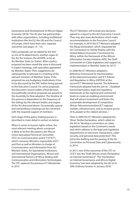Governance and Development of Africa's Digital Economy (2018). The AU also has partnerships with other organisations, including multilateral institutions like the EU, the UN and the Council of Europe, which have their own, separate outcomes (see pages 14 - 15).

Policy proposals can be tabled by the AUC or one of its departments, another organ of the AU (for instance the ACHPR), or by an AU Member State (or States). After a policy proposal has been raised the issue is discussed in expert meetings, with specialists appointed by Member States. Their suggestions are subsequently scrutinised in a meeting of the relevant ministers of Member States. If the proposal has any budgetary implications it has to be discussed by the PRC before being passed to the Executive Council. For some proposals, the Executive Council makes a final decision. Any politically sensitive proposals are passed to the Assembly for final adoption. The timeline of this process is dependent on the frequency of the sittings by the relevant bodies and organs of the AU discussed above. Occasionally, special and extraordinary meetings can be convened with the required support of members.

Each stage of this policy making process is described in more detail in section six below.

When it comes to human rights online, the most relevant meeting where a proposal is likely to be first discussed is the African Union Specialised Technical Committee (STC) on Communication and ICT (CCICT), which convenes Ministers responsible of ICT and Post as well as Ministers in charge of Communication and Information from AU Member States, AU Specialised Institutions and International Organisations, African and International Partners of Africa dealing with Communication and Information Technologies. The STC replaced the previous ICT Ministerials in 2015.

The ICT Ministers will include any decisions agreed in a report to the AU's Executive Council. They may also issue declarations which make recommendations to the Executive Council. For example, in 2010 the ICT Ministers adopted the Abuja Declaration, which requested the AU Commission to "jointly finalise with the United Nations Economic Commission for Africa, within the framework of the African Information Society Initiative (AISI), the Draft Convention on Cyber legislation and support its implementation in Member States by 2012".

In 2008 the ICT Ministers adopted a Reference Framework for Harmonization of the telecommunication and ICT Policies and Regulation in Africa (HIPSSA) at the second ICT Ministerial Summit. The Reference Framework adopted had the aim to: "...Establish harmonized policy, legal and regulatory frameworks at the regional and continental levels to create an enabling environment that will attract investment and foster the sustainable development of competitive African Telecommunication/ICT regional markets, infrastructures, and to increase access of its people to the related services..."

Then in 2009 the ICT Ministers adopted the Oliver Tambo Declaration, which called on the AU to "develop a convention on cyber legislation based on the Continent's needs and which adheres to the legal and regulatory requirements on electronic transactions, cyber security, and personal data protection". This led to the drafting and the passing of the AU Convention on Personal Data and Cybersecurity in 2014.

In 2017, one of the outcomes of the STC on CCICT was the "Draft African Union Declaration on Internet Governance". The "Declaration on Internet Governance and Africa's Digital Economy" was later adopted by the AU at its 30th Ordinary Session in January 2018.31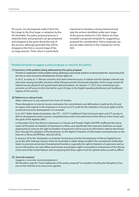Of course, not all proposals make it from the first stage to the final stage, or adoption by the AU Assembly. The policy proposal process is relatively fluid, and proposals can get proposed and dropped at any point along the way of the process, although generally they will be dropped at the first or second stage of the six stage process. That's why it is particularly

important to develop a strong statement and take the actions identified under each stage of the process below for CSOs. Below we have included a proposed template for suggesting a proposal for consideration. Policy proposals can also be taken directly to the Chairperson of the AUC.

### **Possible template to suggest a policy proposal on network disruptions**

#### **[1] Summary of the problem being addressed by this policy proposal**

Provide an explanation of the problem being addressed, and include statistics to demonstrate the impact the problem has on socio-economic development, human rights, etc

In 2017, as many as 11 African countries shut down internet access. In Gabon and the Gambia, internet was shut down during and after elections while, Ethiopia and the Democratic Republic of the Congo closed off internet access ahead of anti-government demonstrations. On January 17, 2017, the Cameroonian government cut off access to the internet for up to 93 days in the English-speaking Northwest and Southwest regions of the country.

#### **[2] Reference to relevant texts**

#### Make reference to any relevant text from AU bodies

These disruptions to internet access contravene the commitments and affirmations made by the AU and its organs with regards to the importance of access to ICTs, both for the realisation of human rights and for social and economic development. For example:

In its 2017 Addis Ababa Declaration, the STC – CCICT 2 reaffirmed "that Communication and ICT are key to Africa's development and economic competitiveness and in the attainment of the African Union Vision and the goals of the Agenda 2063".

In November 2016, the African Commission on Human and Peoples' Rights (ACHPR) reaffirmed the Declaration of Principles on Freedom of Expression in Africa, and specifically that "everyone shall have an equal opportunity to exercise the right to freedom of expression and to access to information without discrimination," through the adoption of the Resolution on the Right to Freedom of Information and Expression on the Internet in Africa (ACHPR/Res. 362(LIX) 2016).

In January 2018, the Declaration on Internet Governance and the Development of Africa's Digital Economy at the 30th Ordinary Session of the AU Assembly in Addis Ababa recalled "the commitment of Member States to promote and protect fundamental freedoms, especially the right to freedom of expression and access to information (on and offline) and human and peoples' rights enunciated in instruments of the African Union and of the United Nations and recognising that these rights must be upheld online as well as offline".

#### **[3] Concrete proposal**

#### Suggest a concrete recommendation/s

We therefore urge the \*insert addressee of the policy proposal\* to consider including the disruption of access to the internet as an issue on its agenda.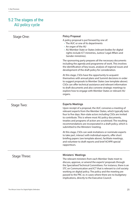## **5.2 The stages of the AU policy cycle**

| Stage One:          | <b>Policy Proposal</b><br>A policy proposal is put forward by one of:<br>• The AUC or one of its departments<br>• An organ of the AU<br>• AU Member State or States (relevant bodies for digital<br>rights include ICT ministries, Justice/ Legal Affairs and<br>Gender ministries).                                                                                                                                                                                                                                                                                                                                                                                                                                                |
|---------------------|-------------------------------------------------------------------------------------------------------------------------------------------------------------------------------------------------------------------------------------------------------------------------------------------------------------------------------------------------------------------------------------------------------------------------------------------------------------------------------------------------------------------------------------------------------------------------------------------------------------------------------------------------------------------------------------------------------------------------------------|
|                     | The sponsoring party prepares all the necessary documents<br>including the agenda and programme of work. This involves<br>the identification of key issues, analysis of regional issues and<br>development of the draft policy for consideration.                                                                                                                                                                                                                                                                                                                                                                                                                                                                                   |
|                     | At this stage, CSOs have the opportunity to acquaint<br>themselves with annual plans and Summit decisions in order<br>to suggest proposals to Member States (see template above).<br>CSOs can offer technical assistance and relevant information<br>to draft documents and also convene strategic meetings to<br>explore how to engage with Member States or relevant AU<br>organs.                                                                                                                                                                                                                                                                                                                                                |
| Stage Two:          | <b>Experts Meetings</b><br>Upon receipt of a proposal, the AUC convenes a meeting of<br>relevant experts from the Member States, which typically lasts<br>four to five days. Non-state actors including CSOs are invited<br>to contribute. This is where most AU policy documents,<br>treaties and programs of action are scrutinised. The resulting<br>recommendations are incorporated in a draft policy, which is<br>submitted to the Ministers' meeting.<br>At this stage, CSOs can seek invitations or nominate experts<br>to take part, interact with individual experts, offer short<br>briefing papers (see template above), facilitate meetings,<br>and volunteer to draft reports and brief ACHPR special<br>rapporteurs. |
| <b>Stage Three:</b> | <b>Ministers' Meetings</b><br>The relevant ministers from each Member State meet to<br>discuss, approve, or amend the experts' proposals through<br>the Specialised Technical Committees. For instance, there is an<br>STC on Communication and ICT that is relevant to civil society<br>working on digital policy. The policy and the meeting are<br>passed to the PRC or, in cases where there are no budgetary<br>implications, directly to the Executive Council.                                                                                                                                                                                                                                                               |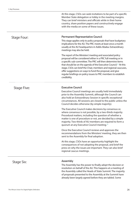At this stage, CSOs can seek invitations to be part of a specific Member State delegation or lobby in the meeting margins. They can brief ministers and officials while in their home country, share position papers and constructively engage with the media on some of these issues.

of proposals presented to the Assembly at the Summit have already been largely agreed before they are tabled. Some

| <b>Stage Four:</b> | <b>Permanent Representative Council</b><br>This stage applies only to policy proposals that have budgetary<br>implications for the AU. The PRC meets at least once a month<br>usually at the AU headquarters in Addis Ababa. Extraordinary<br>meetings may also be held.                                                                                                                                                                                                                     |
|--------------------|----------------------------------------------------------------------------------------------------------------------------------------------------------------------------------------------------------------------------------------------------------------------------------------------------------------------------------------------------------------------------------------------------------------------------------------------------------------------------------------------|
|                    | The report of the Ministers' meeting and associated policy<br>proposal will be considered either in a PRC full meeting or in<br>a specific sub-committee. The PRC will then determine items<br>that should be on the agenda of the Executive Council. <sup>32</sup> At this<br>stage, CSOs can brief the Chair, members and regional caucuses,<br>offer suggestions on ways to fund the proposal, and give<br>regular briefings on policy issues to PRC members to establish<br>credibility. |
| <b>Stage Five:</b> | <b>Executive Council</b><br>Executive Council meetings are usually held immediately<br>prior to the Assembly Summit, although the Council can<br>also hold an Extraordinary Session in specific exceptional<br>circumstances. All sessions are closed to the public unless the<br>Council decides otherwise (by simple majority).                                                                                                                                                            |
|                    | The Executive Council makes decisions by consensus or,<br>where consensus is not possible, by a two-thirds majority.<br>Procedural matters, including the question of whether a<br>matter is one of procedure or not, are decided by a simple<br>majority. Two-thirds of AU members are required to form a<br>quorum at any Executive Council meeting. <sup>33</sup>                                                                                                                         |
|                    | Once the Executive Council reviews and approves the<br>recommendations from the Ministers' meeting, they are then<br>sent to the Assembly for final adoption.                                                                                                                                                                                                                                                                                                                                |
|                    | At this stage, CSOs have an opportunity highlight the<br>consequences of not adopting the proposal, and brief the<br>press on why the issues are important. They can also brief<br>regional caucus meetings.                                                                                                                                                                                                                                                                                 |
| <b>Stage Six:</b>  | <b>Assembly</b><br>The Assembly has the power to finally adopt the decision or                                                                                                                                                                                                                                                                                                                                                                                                               |
|                    | resolution on behalf of the AU. This happens at a meeting of<br>the Assembly called the Heads of State Summit. The majority                                                                                                                                                                                                                                                                                                                                                                  |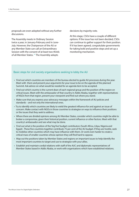proposals are even adopted without any further discussions.

The Assembly meets in Ordinary Session twice a year, in January-February and in June-July. However, the Chairperson of the AU or any Member State can call an Extraordinary Session with the consent of at least two-thirds of all Member States.<sup>34</sup> The Assembly adopts

decisions by majority vote.

At this stage, CSOs have a couple of different options. If the issue has not been decided, CSOs can continue to gather support for their position. If it has been agreed, congratulate governments for taking bold and positive steps and set up a monitoring mechanism.

## **Basic steps for civil society organisations seeking to lobby the AU**

- Find out which countries are members of the bureau elected to guide AU processes during the year. Meet with them and present your arguments for your issue to be on the agenda of the planned Summit. Ask advice on what would be needed for an agenda item to be accepted.
- Find out which country is the current dean of each regional group and the position of the region on critical issues. Meet with the ambassador of that country in Addis Ababa, together with representatives of NGOs from that region, present your viewpoint and find out where you stand.
- Make sure that you express your advocacy messages within the framework of AU policies and standards – and not only the international ones.
- Try to identify which countries are likely to wield the greatest influence for and against an issue of concern. Make contact with NGOs in those countries to strategise on ways to influence their positions or the issues that they seek to address.
- Where there are divided opinions among AU Member States, consider which countries might be able to broker a compromise, given their historical position, current influence or other factors. Meet with that country's ambassador and see what may be done.
- Find out what is the position of the 'big five' budget contributors (South Africa, Libya, Nigeria and Egypt) . These five countries together contribute 75 per cent of the AU budget. If they are hostile, seek to mobilise other countries which may have influence with them. Or work even harder to create a critical mass of smaller countries whose opinion they will find hard to oppose.
- Map out the positions taken by Member States and regions on important issues to help identify the most important countries to target and use to strategise with your allies.
- Establish and maintain cordial relations with staff of the AUC and diplomatic representatives of Member States based in Addis Ababa, or work with organisations which have established relations.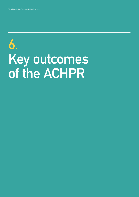## **6. Key outcomes of the ACHPR**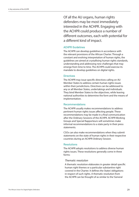Of all the AU organs, human rights defenders may be most immediately interested in the ACHPR. Engaging with the ACHPR could produce a number of different outcomes, each with potential for a different kind of impact.

## **ACHPR Guidelines**

The ACHPR can develop guidelines in accordance with the relevant provisions of the African Charter. Through a constant and evolving interpretation of human rights, the guidelines are aimed at crystallising human rights standards, understanding and addressing new challenges that may emerge from time to time. The ACHPR could exercise its mandate to develop guidelines on digital rights.

## **Directives**

The ACHPR may issue specific directives calling on AU Member States to address certain human rights issues within their jurisdictions. Directives can be addressed to any or all Member States, undertakings and individuals. They bind Member States to the objectives, while leaving national authorities to determine the form and the means of implementation.

#### **Recommendations**

The ACHPR usually makes recommendations to address pertinent human rights issues affecting people. These recommendations may be made in a final communication after the Ordinary Sessions of the ACHPR. ACHPR Working Groups and Special Rapporteurs will sometimes make informal recommendations to a state party in their press statements.

CSOs can also make recommendations when they submit statements on the state of human rights in their respective countries during an ACHPR Ordinary Session.

## **Resolutions**

The ACHPR adopts resolutions to address diverse human rights issues. These resolutions generally come in three forms:

## **Thematic resolution**

A thematic resolution elaborates in greater detail specific human right themes or a particular substantive right covered in the Charter. It defines the States' obligations in respect of such rights. A thematic resolution from the ACHPR can be thought of as similar to the 'General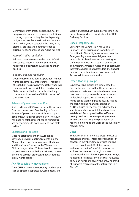Comments' of UN treaty bodies. The ACHPR has passed a number of thematic resolutions covering topics including the death penalty, indigenous peoples, the situation of women and children, socio-cultural rights, HIV/AIDS, electoral process and good governance, prisons, freedom of association, and fair trial.

### **Administrative resolution**

Administrative resolutions deal with ACHPR procedures, internal mechanisms and the relationship between the ACHPR and other entities.

### **Country-specific resolution**

Country resolutions address pertinent human rights concerns in Member States. This genre of resolution has proven very useful whenever there are widespread violations in a Member State but no individual has submitted any communications to the ACHPR in respect of those violations.

### **Advisory Opinions (African Court)**

State parties and CSOs can request the African Court on Human and Peoples Rights for an Advisory Opinion on a specific human rights issue or issues against a state party. The Court has since its establishment issued numerous advisory opinions to both state and non-state parties.<sup>35</sup>

## **Charters and Protocols**

Since its establishment, the ACHPR has developed several legal instruments like the African Charter on Democracy and Elections and the African Charter on the Welfare of a Child amongst others. This tool could therefore be used to engage with the ACHPR with a view of coming up with protocols that can address digital rights issues.<sup>36</sup>

#### **ACHPR subsidiary mechanisms**

The ACHPR may create subsidiary mechanisms such as Special Rapporteurs, Committees, and

Working Groups. Each subsidiary mechanism presents a report on its work at each ACHPR Ordinary Session.

### **Special Rapporteurs**

Currently, the Commission has Special Rapporteurs on Prisons and Conditions of Detention in Africa, Rights of Women in Africa, Refugees, Asylum seekers, Migrants and Internally Displaced Persons, Human Rights Defenders in Africa, Extra Judicial, Summary and Arbitrary Arrests in Africa and, of particular interest to digital rights defenders, the Special Rapporteur on Freedom of Expression and Access to Information in Africa.

### **Expert Working Groups**

Expert working groups are different to the Special Rapporteurs in that they can appoint external experts, and can often have a broad mandate to study, research, raise awareness and publish reports on emerging human rights issues. Working groups usually require the technical and financial support of NGOs in Africa to effectively discharge their specific mandate for which they have been established. Funds provided by NGOs are usually used to assist in organising seminars, investigative missions and production of reports highlighting the work of the subsidiary mechanisms.

### **Other**

The ACHPR can also release press releases to highlight particular incidents or situations of concern in member state countries, making reference to relevant ACHPR instruments and may call on the State/s in question to address the situation through concrete recommendations. For example, in July 2018, it released a press release of particular relevance to human rights online, on "the growing trend of stringent regulation of the internet in East Africa".<sup>37</sup>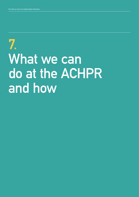## **7. What we can do at the ACHPR and how**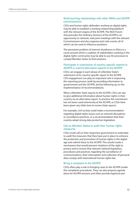## **Build working relationships with other NGOs and ACHPR commissioners**

CSOs and human rights defenders working on digital rights may be able to establish a working relationship/platform with the relevant organs of the ACHPR. The NGO Forum that precedes the Ordinary Sessions of the ACHPR is an opportunity to network, seek joint meetings with the relevant Commissioners and also organise joint side events, all of which can be used to influence positions.

The persistent problem of internet shutdowns in Africa is a cause around which a coalition of stakeholders working in the digital rights community may be able to use AU processes to compel Member States to find solutions.

## **Participate in submission of country-specific reports to ACHPR or submit alternative reports to the ACHPR**

CSOs can engage in each phase of a Member State's submission of its country-specific report to the ACHPR. CSO engagement can play an important role in improving the reporting process, both by providing information to governments and the ACHPR, and by following up on the implementation of recommendations.

When a Member State reports to the ACHPR, CSOs can opt to give additional information about human rights in their country via an alternative report. In practice this mechanism has not been used extensively at the ACHPR, as CSOs have been given very little time to review State reports.

For example, civil society could make a recommendation regarding digital rights issues such as network disruptions or surveillance practices, or a recommendation that their country adopt strong data protection legislation.

## **Call on Member States to audit their human rights measures**

CSOs could call on their respective government to undertake to audit the measures that they have put in place to enhance the protection and promotion of human rights in the digital age and submit these to the ACHPR. This would create a mechanism that would prevent violations of the right to privacy and to ensure that relevant national legislation, procedures and practices regarding the surveillance of communications, their interception and collection of personal data comply with international human rights law.

## **Bring a complaint to the ACHPR**

CSOs often play a role in bringing cases to the ACHPR (under the complaints procedure). They can also propose agenda items for ACHPR sessions and often provide logistical and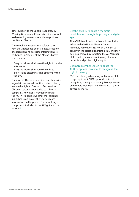other support to the Special Rapporteurs, Working Groups and Country Missions, as well as developing resolutions and new protocols to the African Charter.

The complaint must include reference to how the Charter has been violated. Freedom of expression and access to information are enshrined in Article 9 of the African Charter, which states:

- Every individual shall have the right to receive information.
- Every individual shall have the right to express and disseminate his opinions within the law.

Therefore CSOs could submit a complaint with regards to network disruptions, which directly violate the right to freedom of expression. Observer status is not needed to submit a complaint. However, it may take years for the ACHPR to decide whether the incidents in a submission violate the Charter. More information on the process for submitting a complaint is included in the IFEX guide to the ACHPR.38

## **Get the ACHPR to adopt a thematic resolution on the right to privacy in a digital age**

The ACHPR could adopt a thematic resolution in line with the United Nations General Assembly Resolution 68/167 on the right to privacy in the digital age. Strategically this may best be achieved by targeting the AU Member States first, by recommending ways they can promote and protect digital rights.

## **Get more Member States to adopt the ACHPR optional protocol to recognise the right to privacy**

CSOs are already advocating for Member States to sign up to an ACHPR optional protocol recognising the right to privacy. More pressure on multiple Member States would assist these advocacy efforts.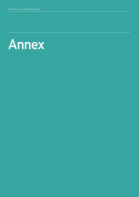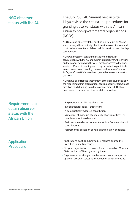## **NGO observer status with the AU**

The July 2005 AU Summit held in Sirte, Libya revised the criteria and procedures for granting observer status with the African Union to non-governmental organisations (NGOs).

NGOs seeking observer status must be registered in an African state, managed by a majority of African citizens or diaspora, and must derive at least two-thirds of their income from membership contributions.

NGOs with observer status undertake to hold regular consultations with the AU and submit a report every three years on their cooperation with the AU. They have access to the open sessions of Summit meetings, and may be invited to participate in sessions of closed meetings relevant to their area of interest. So far, 49 African NGOs have been granted observer status with the AU.<sup>39</sup>

NGOs have called for the amendment of these rules, particularly the requirement that organisations seeking observer status must have two thirds funding from their own members. CIDO has been tasked to review the observer status procedures.

## **Requirements to obtain observer status with the African Union**

- Registration in an AU Member State.
- In operation for at least three years.
- A democratically adopted constitution.
- Management made up of a majority of African citizens or members of African diaspora.
- Basic resources derived at least two-thirds from membership contributions.
- Respect and application of non-discrimination principles.

## **Application Procedure**

- Applications must be submitted six months prior to the Executive Council meetings.
- Diaspora organisations require references from two Member States and an NGO recognised by the AU.
- Organisations working on similar issues are encouraged to apply for observer status as a coalition or joint committee.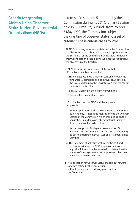## **Criteria for granting African Union Observer Status to Non-Governmental Organisations (NGOs)**

In terms of resolution 5 adopted by the Commission during its 25<sup>th</sup> Ordinary Session held in Bujumbura, Burundi, from 26 April 5 May 1999, the Commission subjects the granting of observer status to a set of criteria.40 These criteria are as follows:

- **1.** All NGOs applying for observer status with the Commission shall be expected to submit a documented application to the Secretariat of the Commission, with a view to showing their willingness and capability to work for the realisation of the objectives of the Charter;
- **1a**. All NGOs applying for observer status with the Commission shall consequently:
	- i. Have objectives and activities in consonance with the fundamental principles and objectives enunciated in the OAU Charter (now the Constitutive Act of the African Union) and in the Charter;
	- ii. Be NGOs working in the field of human rights
	- iii. Declare their financial resources
- **1b.** To this effect, such an NGO shall be requested to provide:
	- i. Written application addressed to the Secretariat stating its intentions, at least three months prior to the Ordinary Session of the Commission which shall decide on the application, in order to give the Secretariat sufficient time to process the said application
	- ii. Its statutes, proof of its legal existence, a list of its members, its constituent organs, its sources of funding, its last financial statement, as well as a statement on its activities.
	- iii. The statement of activities shall cover the past and present activities of the NGO, its plan of action and any other information that may help to determine the identity of the organisation, its purpose and objectives, as well as its field of activities.
- **1c.** No application for Observer Status shall be put forward for examination by the Commission without having been previously processed by the Secretariat.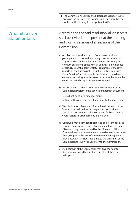**1d**. The Commission's Bureau shall designate a rapporteur to examine the dossiers. The Commission's decision shall be notified without delay to the applicant NGO.

## **What observer status entails**

According to the said resolution, all observers shall be invited to be present at the opening and closing sessions of all sessions of the Commission.

- a) An observer accredited by the Commission shall not participate in its proceedings in any manner other than as provided for in the Rules of Procedure governing the conduct of sessions of the African Commission. Amongst others, NGOs with observer status can prepare "shadow" reports on the human rights situation in their countries. These "shadow" reports enable the Commission to have a constructive dialogue with a state representative when that country's periodic report is being considered.
- b) All observers shall have access to the documents of the Commission subject to the condition that such document:
	- i. Shall not be of a confidential nature;
	- ii. Deal with issues that are of relevance to their interests.
- c) The distribution of general information documents of the Commission shall be free of charge; the distribution of specialised documents shall be on a paid for basis, except where reciprocal arrangements are in place.
- d) Observers may be invited specially to be present at closed sessions dealing with issues of particular interest to them. Observers may be authorised by the Chairman of the Commission to make a statement on an issue that concerns them, subject to the text of the statement having been provided, with sufficient lead time, to the Chairman of the Commission through the Secretary to the Commission.
- e) The Chairman of the Commission may give the floor to observers to respond to questions directed at them by participants.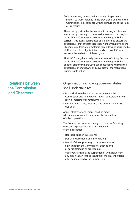f) Observers may request to have issues of a particular interest to them included in the provisional agenda of the Commission, in accordance with the provisions of the Rules of Procedure.

The other opportunities that come with having an observer status the opportunity to convene side events at the margins of the African Commission on Human and Peoples Rights sessions. Side events can be used as a platform to discuss the critical issues that affect the realisation of human rights online like repressive legislation, systemic clamp down of social media platforms in different jurisdictions and also how CSO's can enhance the realisation of these rights.

The NGO forum, that usually precedes every Ordinary Session of the African Commission on Human and Peoples Rights is another platform where CSO's can constructively discuss the critical issue of shutdowns and advocate for the realisation of human rights online.

## **Relations between the Commission and Observers**

## Organisations enjoying observer status shall undertake to:

- Establish close relations of cooperation with the Commission and to engage in regular consultations with it on all matters of common interest;
- Present their activity reports to the Commission every two years.

Administrative arrangements shall be made, whenever necessary, to determine the modalities of this cooperation.

The Commission reserves the right to take the following measures against NGOs that are in default of their obligations:

- Non-participation in sessions;
- Denial of documents and information;
- Denial of the opportunity to propose items to be included in the Commission's agenda and of participating in its proceeding;
- Observer status may be suspended or withdrawn from any organisation that does not fulfil the present criteria, after deliberation by the Commission.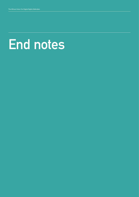## **End notes**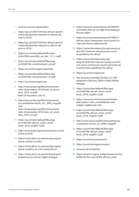- www.accessnow.org/keepiton
- 2 https://qz.com/875729/how-african-governments-blocked-the-internet-to-silence-dissent-in-2016/
- 3 https://qz.com/875729/how-african-governments-blocked-the-internet-to-silence-dissent-in-2016/
- 4 https://au.int/sites/default/files/decisions/9564-assembly au dec 1-5 i e.pdf
- 5 https://au.int/sites/default/files/pages/32020-file-constitutiveact\_en.pdf
- 6 https://au.int/en/organs/assembly
- 7 https://au.int/sites/default/files/pages/32020-file-constitutiveact\_en.pdf
- 8 https://au.int/en/organs/psc
- 9 http://www.achpr.org/files/instruments/ rules-of-procedure-2010/rules\_of\_procedure\_2010\_en.pdf Rules of Procedure, rule 16
- 10 http://www.achpr.org/files/instruments/ au-constitutive-act/au\_act\_2000\_eng.pdf and http://www.achpr.org/files/instruments/

rules-of-procedure-2010/rules\_of\_procedure\_2010\_en.pdf

- 11 https://au.int/sites/default/files/pages/31829-file-african\_union\_handbook\_2018\_english-2.pdf
- 12 http://www.achpr.org/instruments/au-constitutive-act/#20
- 13 https://www.africa-eu-partnership.org/en/ about-us/how-it-works
- 14 https://www.africa-eu-partnership.org/en/ about-us/africa-eu-civil-society-forum
- 15 https://www.africa-eu-partnership.org/en/ projects/au-eu-human-rights-dialogue
- 16 https://au.int/en/pressreleases/20180424/ conclusion-first-au-un-high-level-dialoguehuman-rights
- 17 https://au.int/en/pressreleases/20180412/ african-union-commission-and-council-europe-join-forces-cybersecurity
- 18 https://www.internetsociety.org/resources/ doc/2017/internet-infrastructure-security-guidelines-for-africa/
- 19 https://www.internetsociety.org/ blog/2018/05/the-internet-society-and-african-union-commission-launch-personal-data-protections-guidelines-for-africa/
- 20 https://au.int/en/organs/stc
- 21 See Decision Assembly/AU/Dec.227 (XII) adopted in February 2009 in Addis Ababa, Ethiopia
- 22 https://au.int/sites/default/files/pages/31829-file-african\_union\_handbook\_2018\_english-2.pdf
- 23 https://www.eac.int/environment/index. php?option=com\_content&view=article&id=156&Itemid=164
- 24 https://au.int/sites/default/files/pages/31829-file-african\_union\_handbook\_2018\_english-2.pdf
- 25 http://www.achpr.org/files/instruments/auconstitutive-act/au\_act\_2000\_eng.pdf
- 26 https://au.int/sites/default/files/pages/31829-file-african\_union\_handbook\_2018\_english-2.pdf
- 27 https://au.int/en/aucil/session
- 28 https://au.int/en/organs/ecosocc
- 29 www.au.int/en/treaties
- 30 https://issafrica.org/iss-today/nepad-and-thebattle-for-the-soul-of-the-african-union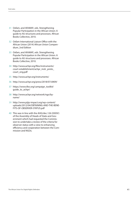- 31 Oxfam, and AfriMAP., eds. Strengthening Popular Participation in the African Union: A guide to AU structures and processes. African Books Collective, 2010.
- 32 Oxfam International Liaison Office with the African Union (2014) African Union Compendium, 2nd Edition
- 33 Oxfam, and AfriMAP., eds. Strengthening Popular Participation in the African Union: A guide to AU structures and processes. African Books Collective, 2010.
- 34 http://www.achpr.org/files/instruments/ court-establishment/achpr\_instr\_proto\_ court\_eng.pdf
- 35 http://www.achpr.org/instruments/
- 36 http://www.achpr.org/press/2018/07/d409/
- 37 https://www.ifex.org/campaign\_toolkit/ guide\_to\_achpr/
- 38 http://www.achpr.org/network/ngo/byname/
- 39 http://www.pijip-impact.org/wp-content/ uploads/2012/04/OBTAINING-AND-THE-BENE-FITS-OF-OBSERVER-STATUS.pdf
- 40 This was in line with the AHG/dec.126 (XXXIV) of the Assembly of Heads of State and Government which had requested the Commission to undertake a review of the criteria for observer status with a view to enhancing efficiency and cooperation between the Commission and NGOs.